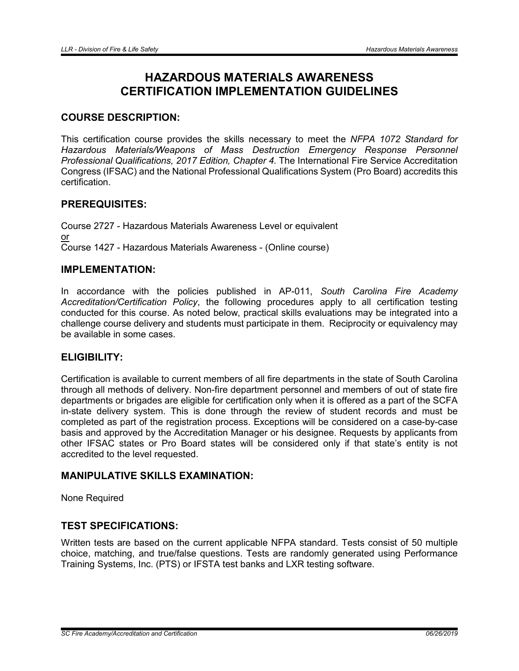# HAZARDOUS MATERIALS AWARENESS CERTIFICATION IMPLEMENTATION GUIDELINES

# COURSE DESCRIPTION:

This certification course provides the skills necessary to meet the *NFPA 1072 Standard for Hazardous Materials/Weapons of Mass Destruction Emergency Response Personnel Professional Qualifications, 2017 Edition, Chapter 4.* The International Fire Service Accreditation Congress (IFSAC) and the National Professional Qualifications System (Pro Board) accredits this certification.

# PREREQUISITES:

Course 2727 - Hazardous Materials Awareness Level or equivalent or Course 1427 - Hazardous Materials Awareness - (Online course)

# IMPLEMENTATION:

In accordance with the policies published in AP-011, *South Carolina Fire Academy Accreditation/Certification Policy*, the following procedures apply to all certification testing conducted for this course. As noted below, practical skills evaluations may be integrated into a challenge course delivery and students must participate in them. Reciprocity or equivalency may be available in some cases.

#### ELIGIBILITY:

Certification is available to current members of all fire departments in the state of South Carolina through all methods of delivery. Non-fire department personnel and members of out of state fire departments or brigades are eligible for certification only when it is offered as a part of the SCFA in-state delivery system. This is done through the review of student records and must be completed as part of the registration process. Exceptions will be considered on a case-by-case basis and approved by the Accreditation Manager or his designee. Requests by applicants from other IFSAC states or Pro Board states will be considered only if that state's entity is not accredited to the level requested.

## MANIPULATIVE SKILLS EXAMINATION:

None Required

# TEST SPECIFICATIONS:

Written tests are based on the current applicable NFPA standard. Tests consist of 50 multiple choice, matching, and true/false questions. Tests are randomly generated using Performance Training Systems, Inc. (PTS) or IFSTA test banks and LXR testing software.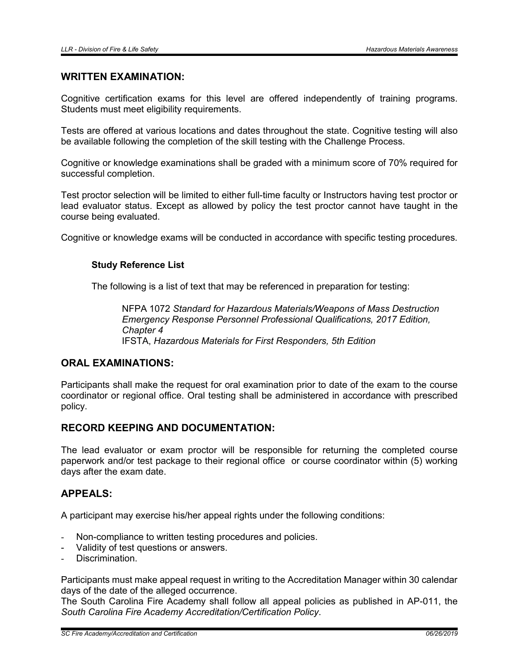#### WRITTEN EXAMINATION:

Cognitive certification exams for this level are offered independently of training programs. Students must meet eligibility requirements.

Tests are offered at various locations and dates throughout the state. Cognitive testing will also be available following the completion of the skill testing with the Challenge Process.

Cognitive or knowledge examinations shall be graded with a minimum score of 70% required for successful completion.

Test proctor selection will be limited to either full-time faculty or Instructors having test proctor or lead evaluator status. Except as allowed by policy the test proctor cannot have taught in the course being evaluated.

Cognitive or knowledge exams will be conducted in accordance with specific testing procedures.

#### Study Reference List

The following is a list of text that may be referenced in preparation for testing:

NFPA 1072 *Standard for Hazardous Materials/Weapons of Mass Destruction Emergency Response Personnel Professional Qualifications, 2017 Edition, Chapter 4* IFSTA, *Hazardous Materials for First Responders, 5th Edition*

# ORAL EXAMINATIONS:

Participants shall make the request for oral examination prior to date of the exam to the course coordinator or regional office. Oral testing shall be administered in accordance with prescribed policy.

#### RECORD KEEPING AND DOCUMENTATION:

The lead evaluator or exam proctor will be responsible for returning the completed course paperwork and/or test package to their regional office or course coordinator within (5) working days after the exam date.

#### APPEALS:

A participant may exercise his/her appeal rights under the following conditions:

- Non-compliance to written testing procedures and policies.
- Validity of test questions or answers.
- Discrimination.

Participants must make appeal request in writing to the Accreditation Manager within 30 calendar days of the date of the alleged occurrence.

The South Carolina Fire Academy shall follow all appeal policies as published in AP-011, the *South Carolina Fire Academy Accreditation/Certification Policy*.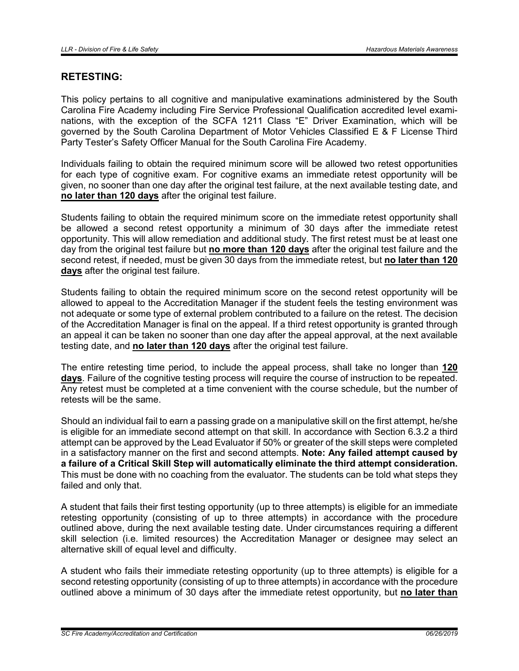# RETESTING:

This policy pertains to all cognitive and manipulative examinations administered by the South Carolina Fire Academy including Fire Service Professional Qualification accredited level examinations, with the exception of the SCFA 1211 Class "E" Driver Examination, which will be governed by the South Carolina Department of Motor Vehicles Classified E & F License Third Party Tester's Safety Officer Manual for the South Carolina Fire Academy.

Individuals failing to obtain the required minimum score will be allowed two retest opportunities for each type of cognitive exam. For cognitive exams an immediate retest opportunity will be given, no sooner than one day after the original test failure, at the next available testing date, and no later than 120 days after the original test failure.

Students failing to obtain the required minimum score on the immediate retest opportunity shall be allowed a second retest opportunity a minimum of 30 days after the immediate retest opportunity. This will allow remediation and additional study. The first retest must be at least one day from the original test failure but no more than 120 days after the original test failure and the second retest, if needed, must be given 30 days from the immediate retest, but no later than 120 days after the original test failure.

Students failing to obtain the required minimum score on the second retest opportunity will be allowed to appeal to the Accreditation Manager if the student feels the testing environment was not adequate or some type of external problem contributed to a failure on the retest. The decision of the Accreditation Manager is final on the appeal. If a third retest opportunity is granted through an appeal it can be taken no sooner than one day after the appeal approval, at the next available testing date, and no later than 120 days after the original test failure.

The entire retesting time period, to include the appeal process, shall take no longer than 120 days. Failure of the cognitive testing process will require the course of instruction to be repeated. Any retest must be completed at a time convenient with the course schedule, but the number of retests will be the same.

Should an individual fail to earn a passing grade on a manipulative skill on the first attempt, he/she is eligible for an immediate second attempt on that skill. In accordance with Section 6.3.2 a third attempt can be approved by the Lead Evaluator if 50% or greater of the skill steps were completed in a satisfactory manner on the first and second attempts. Note: Any failed attempt caused by a failure of a Critical Skill Step will automatically eliminate the third attempt consideration. This must be done with no coaching from the evaluator. The students can be told what steps they failed and only that.

A student that fails their first testing opportunity (up to three attempts) is eligible for an immediate retesting opportunity (consisting of up to three attempts) in accordance with the procedure outlined above, during the next available testing date. Under circumstances requiring a different skill selection (i.e. limited resources) the Accreditation Manager or designee may select an alternative skill of equal level and difficulty.

A student who fails their immediate retesting opportunity (up to three attempts) is eligible for a second retesting opportunity (consisting of up to three attempts) in accordance with the procedure outlined above a minimum of 30 days after the immediate retest opportunity, but no later than